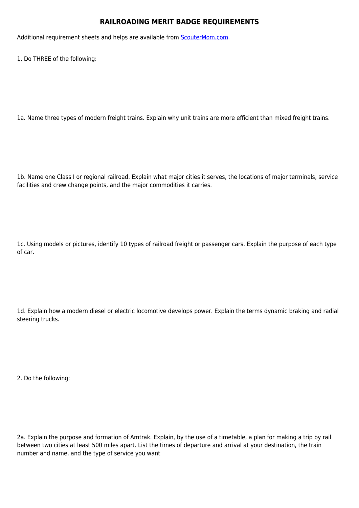## **RAILROADING MERIT BADGE REQUIREMENTS**

Additional requirement sheets and helps are available from [ScouterMom.com](http://scoutermom.com).

1. Do THREE of the following:

1a. Name three types of modern freight trains. Explain why unit trains are more efficient than mixed freight trains.

1b. Name one Class I or regional railroad. Explain what major cities it serves, the locations of major terminals, service facilities and crew change points, and the major commodities it carries.

1c. Using models or pictures, identify 10 types of railroad freight or passenger cars. Explain the purpose of each type of car.

1d. Explain how a modern diesel or electric locomotive develops power. Explain the terms dynamic braking and radial steering trucks.

2. Do the following:

2a. Explain the purpose and formation of Amtrak. Explain, by the use of a timetable, a plan for making a trip by rail between two cities at least 500 miles apart. List the times of departure and arrival at your destination, the train number and name, and the type of service you want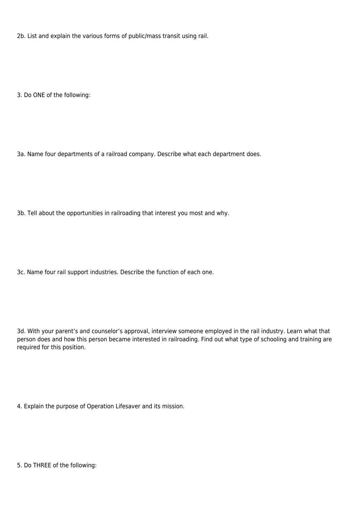2b. List and explain the various forms of public/mass transit using rail.

3. Do ONE of the following:

3a. Name four departments of a railroad company. Describe what each department does.

3b. Tell about the opportunities in railroading that interest you most and why.

3c. Name four rail support industries. Describe the function of each one.

3d. With your parent's and counselor's approval, interview someone employed in the rail industry. Learn what that person does and how this person became interested in railroading. Find out what type of schooling and training are required for this position.

4. Explain the purpose of Operation Lifesaver and its mission.

5. Do THREE of the following: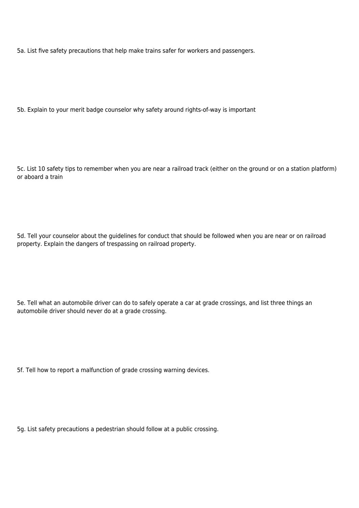5a. List five safety precautions that help make trains safer for workers and passengers.

5b. Explain to your merit badge counselor why safety around rights-of-way is important

5c. List 10 safety tips to remember when you are near a railroad track (either on the ground or on a station platform) or aboard a train

5d. Tell your counselor about the guidelines for conduct that should be followed when you are near or on railroad property. Explain the dangers of trespassing on railroad property.

5e. Tell what an automobile driver can do to safely operate a car at grade crossings, and list three things an automobile driver should never do at a grade crossing.

5f. Tell how to report a malfunction of grade crossing warning devices.

5g. List safety precautions a pedestrian should follow at a public crossing.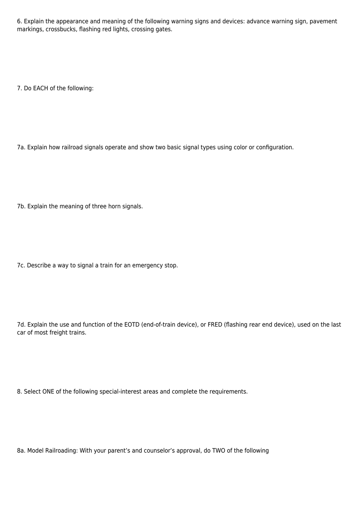6. Explain the appearance and meaning of the following warning signs and devices: advance warning sign, pavement markings, crossbucks, flashing red lights, crossing gates.

7. Do EACH of the following:

7a. Explain how railroad signals operate and show two basic signal types using color or configuration.

7b. Explain the meaning of three horn signals.

7c. Describe a way to signal a train for an emergency stop.

7d. Explain the use and function of the EOTD (end-of-train device), or FRED (flashing rear end device), used on the last car of most freight trains.

8. Select ONE of the following special-interest areas and complete the requirements.

8a. Model Railroading: With your parent's and counselor's approval, do TWO of the following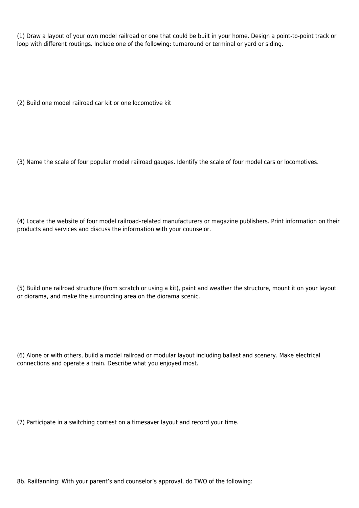(1) Draw a layout of your own model railroad or one that could be built in your home. Design a point-to-point track or loop with different routings. Include one of the following: turnaround or terminal or yard or siding.

(2) Build one model railroad car kit or one locomotive kit

(3) Name the scale of four popular model railroad gauges. Identify the scale of four model cars or locomotives.

(4) Locate the website of four model railroad–related manufacturers or magazine publishers. Print information on their products and services and discuss the information with your counselor.

(5) Build one railroad structure (from scratch or using a kit), paint and weather the structure, mount it on your layout or diorama, and make the surrounding area on the diorama scenic.

(6) Alone or with others, build a model railroad or modular layout including ballast and scenery. Make electrical connections and operate a train. Describe what you enjoyed most.

(7) Participate in a switching contest on a timesaver layout and record your time.

8b. Railfanning: With your parent's and counselor's approval, do TWO of the following: